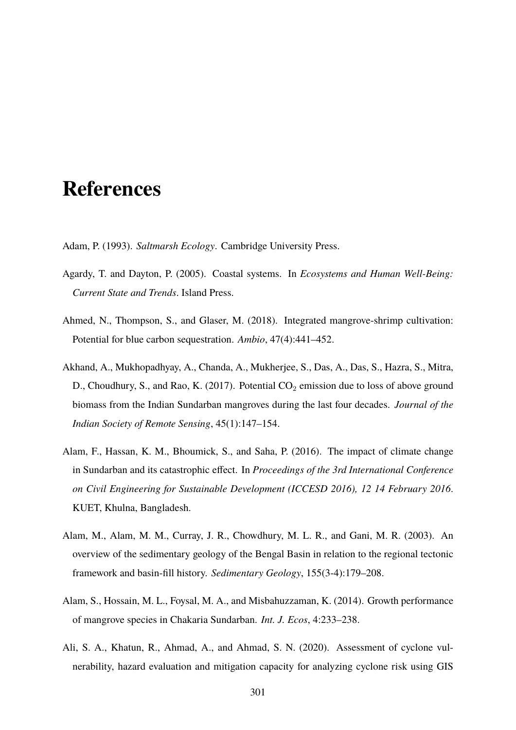## **References**

- Adam, P. (1993). *Saltmarsh Ecology*. Cambridge University Press.
- Agardy, T. and Dayton, P. (2005). Coastal systems. In *Ecosystems and Human Well-Being: Current State and Trends*. Island Press.
- Ahmed, N., Thompson, S., and Glaser, M. (2018). Integrated mangrove-shrimp cultivation: Potential for blue carbon sequestration. *Ambio*, 47(4):441–452.
- Akhand, A., Mukhopadhyay, A., Chanda, A., Mukherjee, S., Das, A., Das, S., Hazra, S., Mitra, D., Choudhury, S., and Rao, K. (2017). Potential  $CO_2$  emission due to loss of above ground biomass from the Indian Sundarban mangroves during the last four decades. *Journal of the Indian Society of Remote Sensing*, 45(1):147–154.
- Alam, F., Hassan, K. M., Bhoumick, S., and Saha, P. (2016). The impact of climate change in Sundarban and its catastrophic effect. In *Proceedings of the 3rd International Conference on Civil Engineering for Sustainable Development (ICCESD 2016), 12 14 February 2016*. KUET, Khulna, Bangladesh.
- Alam, M., Alam, M. M., Curray, J. R., Chowdhury, M. L. R., and Gani, M. R. (2003). An overview of the sedimentary geology of the Bengal Basin in relation to the regional tectonic framework and basin-fill history. *Sedimentary Geology*, 155(3-4):179–208.
- Alam, S., Hossain, M. L., Foysal, M. A., and Misbahuzzaman, K. (2014). Growth performance of mangrove species in Chakaria Sundarban. *Int. J. Ecos*, 4:233–238.
- Ali, S. A., Khatun, R., Ahmad, A., and Ahmad, S. N. (2020). Assessment of cyclone vulnerability, hazard evaluation and mitigation capacity for analyzing cyclone risk using GIS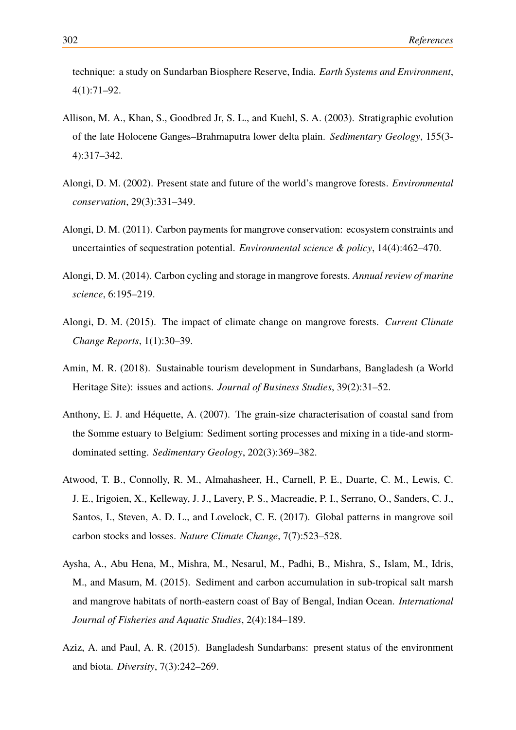technique: a study on Sundarban Biosphere Reserve, India. *Earth Systems and Environment*, 4(1):71–92.

- Allison, M. A., Khan, S., Goodbred Jr, S. L., and Kuehl, S. A. (2003). Stratigraphic evolution of the late Holocene Ganges–Brahmaputra lower delta plain. *Sedimentary Geology*, 155(3- 4):317–342.
- Alongi, D. M. (2002). Present state and future of the world's mangrove forests. *Environmental conservation*, 29(3):331–349.
- Alongi, D. M. (2011). Carbon payments for mangrove conservation: ecosystem constraints and uncertainties of sequestration potential. *Environmental science & policy*, 14(4):462–470.
- Alongi, D. M. (2014). Carbon cycling and storage in mangrove forests. *Annual review of marine science*, 6:195–219.
- Alongi, D. M. (2015). The impact of climate change on mangrove forests. *Current Climate Change Reports*, 1(1):30–39.
- Amin, M. R. (2018). Sustainable tourism development in Sundarbans, Bangladesh (a World Heritage Site): issues and actions. *Journal of Business Studies*, 39(2):31–52.
- Anthony, E. J. and Héquette, A. (2007). The grain-size characterisation of coastal sand from the Somme estuary to Belgium: Sediment sorting processes and mixing in a tide-and stormdominated setting. *Sedimentary Geology*, 202(3):369–382.
- Atwood, T. B., Connolly, R. M., Almahasheer, H., Carnell, P. E., Duarte, C. M., Lewis, C. J. E., Irigoien, X., Kelleway, J. J., Lavery, P. S., Macreadie, P. I., Serrano, O., Sanders, C. J., Santos, I., Steven, A. D. L., and Lovelock, C. E. (2017). Global patterns in mangrove soil carbon stocks and losses. *Nature Climate Change*, 7(7):523–528.
- Aysha, A., Abu Hena, M., Mishra, M., Nesarul, M., Padhi, B., Mishra, S., Islam, M., Idris, M., and Masum, M. (2015). Sediment and carbon accumulation in sub-tropical salt marsh and mangrove habitats of north-eastern coast of Bay of Bengal, Indian Ocean. *International Journal of Fisheries and Aquatic Studies*, 2(4):184–189.
- Aziz, A. and Paul, A. R. (2015). Bangladesh Sundarbans: present status of the environment and biota. *Diversity*, 7(3):242–269.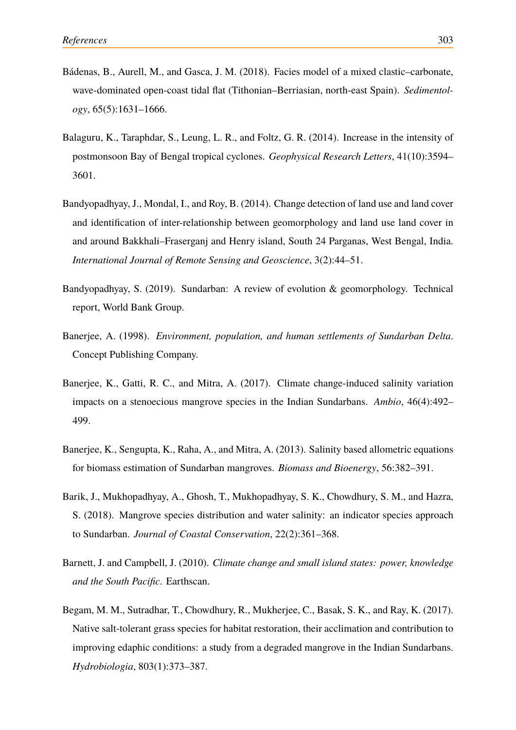- Bádenas, B., Aurell, M., and Gasca, J. M. (2018). Facies model of a mixed clastic–carbonate, wave-dominated open-coast tidal flat (Tithonian–Berriasian, north-east Spain). *Sedimentology*, 65(5):1631–1666.
- Balaguru, K., Taraphdar, S., Leung, L. R., and Foltz, G. R. (2014). Increase in the intensity of postmonsoon Bay of Bengal tropical cyclones. *Geophysical Research Letters*, 41(10):3594– 3601.
- Bandyopadhyay, J., Mondal, I., and Roy, B. (2014). Change detection of land use and land cover and identification of inter-relationship between geomorphology and land use land cover in and around Bakkhali–Fraserganj and Henry island, South 24 Parganas, West Bengal, India. *International Journal of Remote Sensing and Geoscience*, 3(2):44–51.
- Bandyopadhyay, S. (2019). Sundarban: A review of evolution & geomorphology. Technical report, World Bank Group.
- Banerjee, A. (1998). *Environment, population, and human settlements of Sundarban Delta*. Concept Publishing Company.
- Banerjee, K., Gatti, R. C., and Mitra, A. (2017). Climate change-induced salinity variation impacts on a stenoecious mangrove species in the Indian Sundarbans. *Ambio*, 46(4):492– 499.
- Banerjee, K., Sengupta, K., Raha, A., and Mitra, A. (2013). Salinity based allometric equations for biomass estimation of Sundarban mangroves. *Biomass and Bioenergy*, 56:382–391.
- Barik, J., Mukhopadhyay, A., Ghosh, T., Mukhopadhyay, S. K., Chowdhury, S. M., and Hazra, S. (2018). Mangrove species distribution and water salinity: an indicator species approach to Sundarban. *Journal of Coastal Conservation*, 22(2):361–368.
- Barnett, J. and Campbell, J. (2010). *Climate change and small island states: power, knowledge and the South Pacific*. Earthscan.
- Begam, M. M., Sutradhar, T., Chowdhury, R., Mukherjee, C., Basak, S. K., and Ray, K. (2017). Native salt-tolerant grass species for habitat restoration, their acclimation and contribution to improving edaphic conditions: a study from a degraded mangrove in the Indian Sundarbans. *Hydrobiologia*, 803(1):373–387.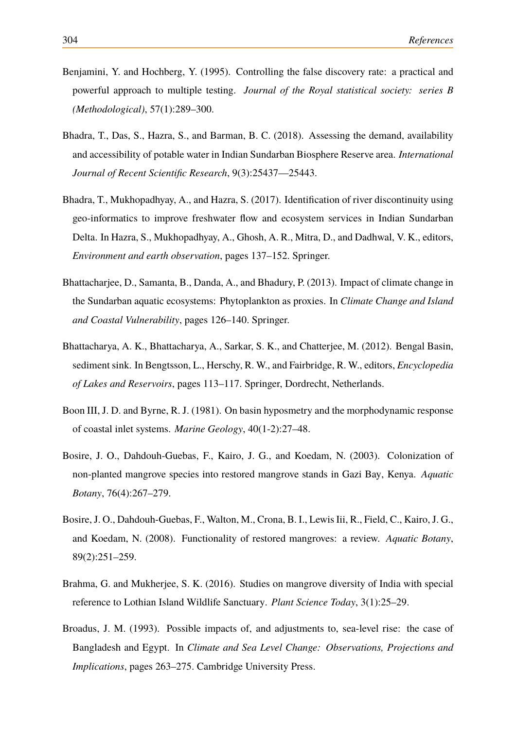- Benjamini, Y. and Hochberg, Y. (1995). Controlling the false discovery rate: a practical and powerful approach to multiple testing. *Journal of the Royal statistical society: series B (Methodological)*, 57(1):289–300.
- Bhadra, T., Das, S., Hazra, S., and Barman, B. C. (2018). Assessing the demand, availability and accessibility of potable water in Indian Sundarban Biosphere Reserve area. *International Journal of Recent Scientific Research*, 9(3):25437—25443.
- Bhadra, T., Mukhopadhyay, A., and Hazra, S. (2017). Identification of river discontinuity using geo-informatics to improve freshwater flow and ecosystem services in Indian Sundarban Delta. In Hazra, S., Mukhopadhyay, A., Ghosh, A. R., Mitra, D., and Dadhwal, V. K., editors, *Environment and earth observation*, pages 137–152. Springer.
- Bhattacharjee, D., Samanta, B., Danda, A., and Bhadury, P. (2013). Impact of climate change in the Sundarban aquatic ecosystems: Phytoplankton as proxies. In *Climate Change and Island and Coastal Vulnerability*, pages 126–140. Springer.
- Bhattacharya, A. K., Bhattacharya, A., Sarkar, S. K., and Chatterjee, M. (2012). Bengal Basin, sediment sink. In Bengtsson, L., Herschy, R. W., and Fairbridge, R. W., editors, *Encyclopedia of Lakes and Reservoirs*, pages 113–117. Springer, Dordrecht, Netherlands.
- Boon III, J. D. and Byrne, R. J. (1981). On basin hyposmetry and the morphodynamic response of coastal inlet systems. *Marine Geology*, 40(1-2):27–48.
- Bosire, J. O., Dahdouh-Guebas, F., Kairo, J. G., and Koedam, N. (2003). Colonization of non-planted mangrove species into restored mangrove stands in Gazi Bay, Kenya. *Aquatic Botany*, 76(4):267–279.
- Bosire, J. O., Dahdouh-Guebas, F., Walton, M., Crona, B. I., Lewis Iii, R., Field, C., Kairo, J. G., and Koedam, N. (2008). Functionality of restored mangroves: a review. *Aquatic Botany*, 89(2):251–259.
- Brahma, G. and Mukherjee, S. K. (2016). Studies on mangrove diversity of India with special reference to Lothian Island Wildlife Sanctuary. *Plant Science Today*, 3(1):25–29.
- Broadus, J. M. (1993). Possible impacts of, and adjustments to, sea-level rise: the case of Bangladesh and Egypt. In *Climate and Sea Level Change: Observations, Projections and Implications*, pages 263–275. Cambridge University Press.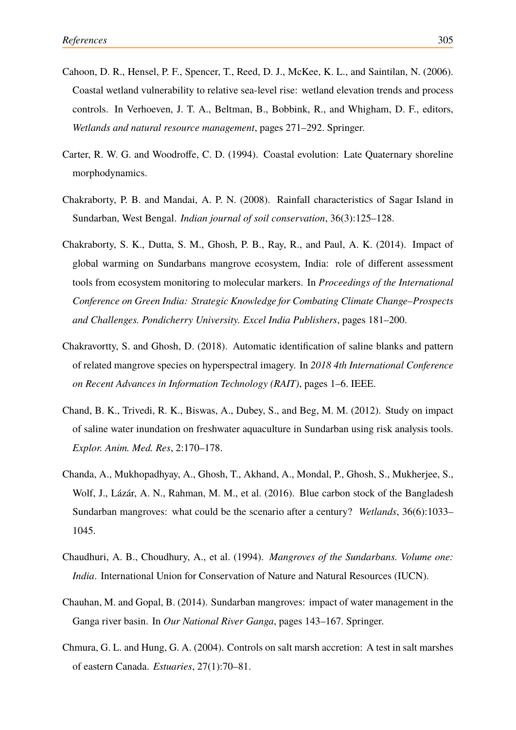- Cahoon, D. R., Hensel, P. F., Spencer, T., Reed, D. J., McKee, K. L., and Saintilan, N. (2006). Coastal wetland vulnerability to relative sea-level rise: wetland elevation trends and process controls. In Verhoeven, J. T. A., Beltman, B., Bobbink, R., and Whigham, D. F., editors, *Wetlands and natural resource management*, pages 271–292. Springer.
- Carter, R. W. G. and Woodroffe, C. D. (1994). Coastal evolution: Late Quaternary shoreline morphodynamics.
- Chakraborty, P. B. and Mandai, A. P. N. (2008). Rainfall characteristics of Sagar Island in Sundarban, West Bengal. *Indian journal of soil conservation*, 36(3):125–128.
- Chakraborty, S. K., Dutta, S. M., Ghosh, P. B., Ray, R., and Paul, A. K. (2014). Impact of global warming on Sundarbans mangrove ecosystem, India: role of different assessment tools from ecosystem monitoring to molecular markers. In *Proceedings of the International Conference on Green India: Strategic Knowledge for Combating Climate Change–Prospects and Challenges. Pondicherry University. Excel India Publishers*, pages 181–200.
- Chakravortty, S. and Ghosh, D. (2018). Automatic identification of saline blanks and pattern of related mangrove species on hyperspectral imagery. In *2018 4th International Conference on Recent Advances in Information Technology (RAIT)*, pages 1–6. IEEE.
- Chand, B. K., Trivedi, R. K., Biswas, A., Dubey, S., and Beg, M. M. (2012). Study on impact of saline water inundation on freshwater aquaculture in Sundarban using risk analysis tools. *Explor. Anim. Med. Res*, 2:170–178.
- Chanda, A., Mukhopadhyay, A., Ghosh, T., Akhand, A., Mondal, P., Ghosh, S., Mukherjee, S., Wolf, J., Lázár, A. N., Rahman, M. M., et al. (2016). Blue carbon stock of the Bangladesh Sundarban mangroves: what could be the scenario after a century? *Wetlands*, 36(6):1033– 1045.
- Chaudhuri, A. B., Choudhury, A., et al. (1994). *Mangroves of the Sundarbans. Volume one: India*. International Union for Conservation of Nature and Natural Resources (IUCN).
- Chauhan, M. and Gopal, B. (2014). Sundarban mangroves: impact of water management in the Ganga river basin. In *Our National River Ganga*, pages 143–167. Springer.
- Chmura, G. L. and Hung, G. A. (2004). Controls on salt marsh accretion: A test in salt marshes of eastern Canada. *Estuaries*, 27(1):70–81.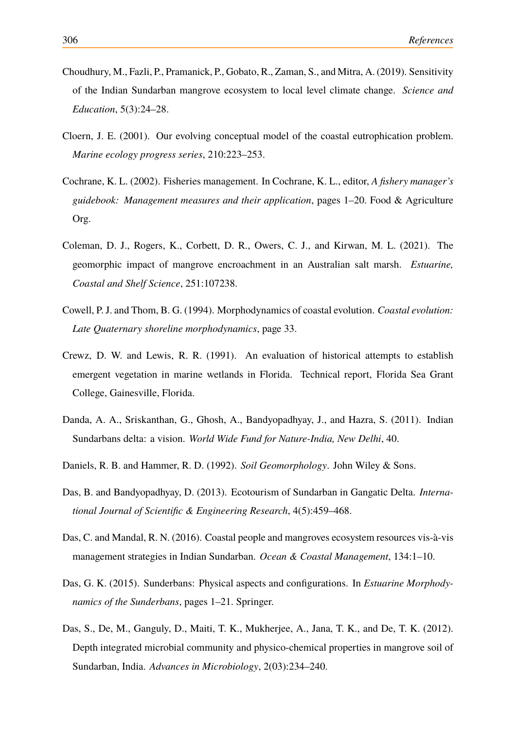- Choudhury, M., Fazli, P., Pramanick, P., Gobato, R., Zaman, S., and Mitra, A. (2019). Sensitivity of the Indian Sundarban mangrove ecosystem to local level climate change. *Science and Education*, 5(3):24–28.
- Cloern, J. E. (2001). Our evolving conceptual model of the coastal eutrophication problem. *Marine ecology progress series*, 210:223–253.
- Cochrane, K. L. (2002). Fisheries management. In Cochrane, K. L., editor, *A fishery manager's guidebook: Management measures and their application*, pages 1–20. Food & Agriculture Org.
- Coleman, D. J., Rogers, K., Corbett, D. R., Owers, C. J., and Kirwan, M. L. (2021). The geomorphic impact of mangrove encroachment in an Australian salt marsh. *Estuarine, Coastal and Shelf Science*, 251:107238.
- Cowell, P. J. and Thom, B. G. (1994). Morphodynamics of coastal evolution. *Coastal evolution: Late Quaternary shoreline morphodynamics*, page 33.
- Crewz, D. W. and Lewis, R. R. (1991). An evaluation of historical attempts to establish emergent vegetation in marine wetlands in Florida. Technical report, Florida Sea Grant College, Gainesville, Florida.
- Danda, A. A., Sriskanthan, G., Ghosh, A., Bandyopadhyay, J., and Hazra, S. (2011). Indian Sundarbans delta: a vision. *World Wide Fund for Nature-India, New Delhi*, 40.
- Daniels, R. B. and Hammer, R. D. (1992). *Soil Geomorphology*. John Wiley & Sons.
- Das, B. and Bandyopadhyay, D. (2013). Ecotourism of Sundarban in Gangatic Delta. *International Journal of Scientific & Engineering Research*, 4(5):459–468.
- Das, C. and Mandal, R. N. (2016). Coastal people and mangroves ecosystem resources vis-à-vis management strategies in Indian Sundarban. *Ocean & Coastal Management*, 134:1–10.
- Das, G. K. (2015). Sunderbans: Physical aspects and configurations. In *Estuarine Morphodynamics of the Sunderbans*, pages 1–21. Springer.
- Das, S., De, M., Ganguly, D., Maiti, T. K., Mukherjee, A., Jana, T. K., and De, T. K. (2012). Depth integrated microbial community and physico-chemical properties in mangrove soil of Sundarban, India. *Advances in Microbiology*, 2(03):234–240.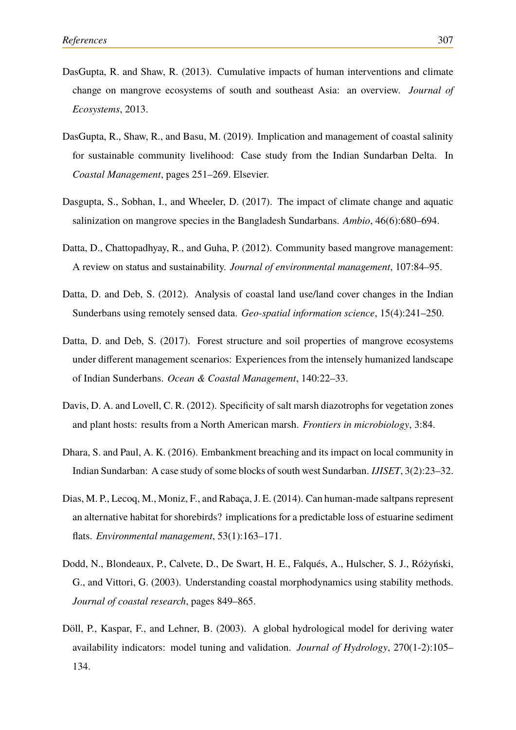- DasGupta, R. and Shaw, R. (2013). Cumulative impacts of human interventions and climate change on mangrove ecosystems of south and southeast Asia: an overview. *Journal of Ecosystems*, 2013.
- DasGupta, R., Shaw, R., and Basu, M. (2019). Implication and management of coastal salinity for sustainable community livelihood: Case study from the Indian Sundarban Delta. In *Coastal Management*, pages 251–269. Elsevier.
- Dasgupta, S., Sobhan, I., and Wheeler, D. (2017). The impact of climate change and aquatic salinization on mangrove species in the Bangladesh Sundarbans. *Ambio*, 46(6):680–694.
- Datta, D., Chattopadhyay, R., and Guha, P. (2012). Community based mangrove management: A review on status and sustainability. *Journal of environmental management*, 107:84–95.
- Datta, D. and Deb, S. (2012). Analysis of coastal land use/land cover changes in the Indian Sunderbans using remotely sensed data. *Geo-spatial information science*, 15(4):241–250.
- Datta, D. and Deb, S. (2017). Forest structure and soil properties of mangrove ecosystems under different management scenarios: Experiences from the intensely humanized landscape of Indian Sunderbans. *Ocean & Coastal Management*, 140:22–33.
- Davis, D. A. and Lovell, C. R. (2012). Specificity of salt marsh diazotrophs for vegetation zones and plant hosts: results from a North American marsh. *Frontiers in microbiology*, 3:84.
- Dhara, S. and Paul, A. K. (2016). Embankment breaching and its impact on local community in Indian Sundarban: A case study of some blocks of south west Sundarban. *IJISET*, 3(2):23–32.
- Dias, M. P., Lecoq, M., Moniz, F., and Rabaça, J. E. (2014). Can human-made saltpans represent an alternative habitat for shorebirds? implications for a predictable loss of estuarine sediment flats. *Environmental management*, 53(1):163–171.
- Dodd, N., Blondeaux, P., Calvete, D., De Swart, H. E., Falqués, A., Hulscher, S. J., Różyński, G., and Vittori, G. (2003). Understanding coastal morphodynamics using stability methods. *Journal of coastal research*, pages 849–865.
- Döll, P., Kaspar, F., and Lehner, B. (2003). A global hydrological model for deriving water availability indicators: model tuning and validation. *Journal of Hydrology*, 270(1-2):105– 134.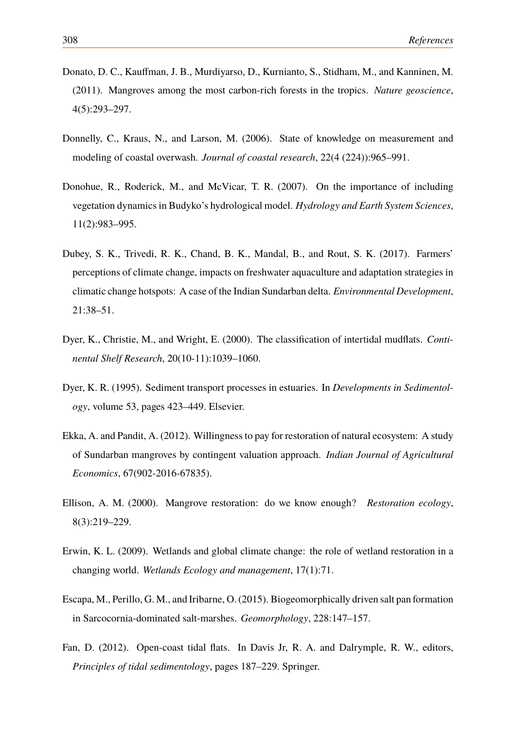- Donato, D. C., Kauffman, J. B., Murdiyarso, D., Kurnianto, S., Stidham, M., and Kanninen, M. (2011). Mangroves among the most carbon-rich forests in the tropics. *Nature geoscience*, 4(5):293–297.
- Donnelly, C., Kraus, N., and Larson, M. (2006). State of knowledge on measurement and modeling of coastal overwash. *Journal of coastal research*, 22(4 (224)):965–991.
- Donohue, R., Roderick, M., and McVicar, T. R. (2007). On the importance of including vegetation dynamics in Budyko's hydrological model. *Hydrology and Earth System Sciences*, 11(2):983–995.
- Dubey, S. K., Trivedi, R. K., Chand, B. K., Mandal, B., and Rout, S. K. (2017). Farmers' perceptions of climate change, impacts on freshwater aquaculture and adaptation strategies in climatic change hotspots: A case of the Indian Sundarban delta. *Environmental Development*, 21:38–51.
- Dyer, K., Christie, M., and Wright, E. (2000). The classification of intertidal mudflats. *Continental Shelf Research*, 20(10-11):1039–1060.
- Dyer, K. R. (1995). Sediment transport processes in estuaries. In *Developments in Sedimentology*, volume 53, pages 423–449. Elsevier.
- Ekka, A. and Pandit, A. (2012). Willingness to pay for restoration of natural ecosystem: A study of Sundarban mangroves by contingent valuation approach. *Indian Journal of Agricultural Economics*, 67(902-2016-67835).
- Ellison, A. M. (2000). Mangrove restoration: do we know enough? *Restoration ecology*, 8(3):219–229.
- Erwin, K. L. (2009). Wetlands and global climate change: the role of wetland restoration in a changing world. *Wetlands Ecology and management*, 17(1):71.
- Escapa, M., Perillo, G. M., and Iribarne, O. (2015). Biogeomorphically driven salt pan formation in Sarcocornia-dominated salt-marshes. *Geomorphology*, 228:147–157.
- Fan, D. (2012). Open-coast tidal flats. In Davis Jr, R. A. and Dalrymple, R. W., editors, *Principles of tidal sedimentology*, pages 187–229. Springer.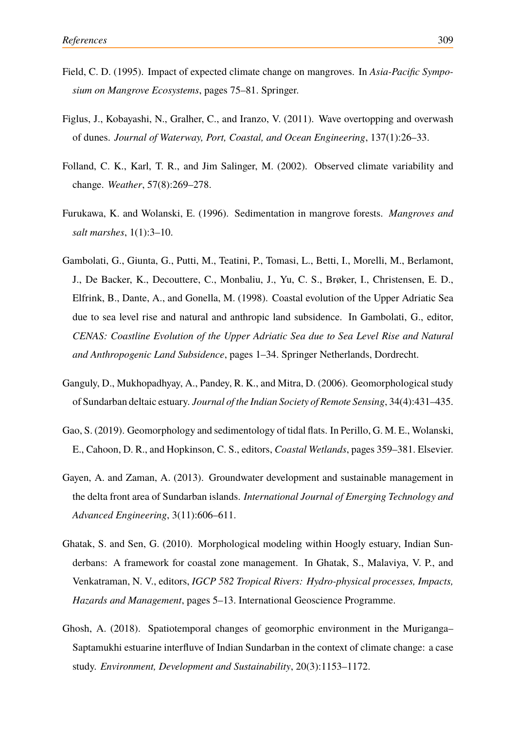- Field, C. D. (1995). Impact of expected climate change on mangroves. In *Asia-Pacific Symposium on Mangrove Ecosystems*, pages 75–81. Springer.
- Figlus, J., Kobayashi, N., Gralher, C., and Iranzo, V. (2011). Wave overtopping and overwash of dunes. *Journal of Waterway, Port, Coastal, and Ocean Engineering*, 137(1):26–33.
- Folland, C. K., Karl, T. R., and Jim Salinger, M. (2002). Observed climate variability and change. *Weather*, 57(8):269–278.
- Furukawa, K. and Wolanski, E. (1996). Sedimentation in mangrove forests. *Mangroves and salt marshes*, 1(1):3–10.
- Gambolati, G., Giunta, G., Putti, M., Teatini, P., Tomasi, L., Betti, I., Morelli, M., Berlamont, J., De Backer, K., Decouttere, C., Monbaliu, J., Yu, C. S., Brøker, I., Christensen, E. D., Elfrink, B., Dante, A., and Gonella, M. (1998). Coastal evolution of the Upper Adriatic Sea due to sea level rise and natural and anthropic land subsidence. In Gambolati, G., editor, *CENAS: Coastline Evolution of the Upper Adriatic Sea due to Sea Level Rise and Natural and Anthropogenic Land Subsidence*, pages 1–34. Springer Netherlands, Dordrecht.
- Ganguly, D., Mukhopadhyay, A., Pandey, R. K., and Mitra, D. (2006). Geomorphological study of Sundarban deltaic estuary. *Journal of the Indian Society of Remote Sensing*, 34(4):431–435.
- Gao, S. (2019). Geomorphology and sedimentology of tidal flats. In Perillo, G. M. E., Wolanski, E., Cahoon, D. R., and Hopkinson, C. S., editors, *Coastal Wetlands*, pages 359–381. Elsevier.
- Gayen, A. and Zaman, A. (2013). Groundwater development and sustainable management in the delta front area of Sundarban islands. *International Journal of Emerging Technology and Advanced Engineering*, 3(11):606–611.
- Ghatak, S. and Sen, G. (2010). Morphological modeling within Hoogly estuary, Indian Sunderbans: A framework for coastal zone management. In Ghatak, S., Malaviya, V. P., and Venkatraman, N. V., editors, *IGCP 582 Tropical Rivers: Hydro-physical processes, Impacts, Hazards and Management*, pages 5–13. International Geoscience Programme.
- Ghosh, A. (2018). Spatiotemporal changes of geomorphic environment in the Muriganga– Saptamukhi estuarine interfluve of Indian Sundarban in the context of climate change: a case study. *Environment, Development and Sustainability*, 20(3):1153–1172.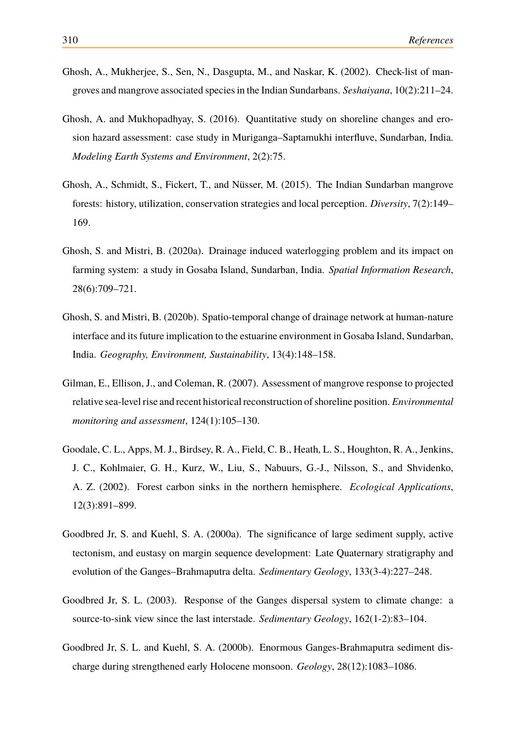- Ghosh, A., Mukherjee, S., Sen, N., Dasgupta, M., and Naskar, K. (2002). Check-list of mangroves and mangrove associated species in the Indian Sundarbans. *Seshaiyana*, 10(2):211–24.
- Ghosh, A. and Mukhopadhyay, S. (2016). Quantitative study on shoreline changes and erosion hazard assessment: case study in Muriganga–Saptamukhi interfluve, Sundarban, India. *Modeling Earth Systems and Environment*, 2(2):75.
- Ghosh, A., Schmidt, S., Fickert, T., and Nüsser, M. (2015). The Indian Sundarban mangrove forests: history, utilization, conservation strategies and local perception. *Diversity*, 7(2):149– 169.
- Ghosh, S. and Mistri, B. (2020a). Drainage induced waterlogging problem and its impact on farming system: a study in Gosaba Island, Sundarban, India. *Spatial Information Research*, 28(6):709–721.
- Ghosh, S. and Mistri, B. (2020b). Spatio-temporal change of drainage network at human-nature interface and its future implication to the estuarine environment in Gosaba Island, Sundarban, India. *Geography, Environment, Sustainability*, 13(4):148–158.
- Gilman, E., Ellison, J., and Coleman, R. (2007). Assessment of mangrove response to projected relative sea-level rise and recent historical reconstruction of shoreline position. *Environmental monitoring and assessment*, 124(1):105–130.
- Goodale, C. L., Apps, M. J., Birdsey, R. A., Field, C. B., Heath, L. S., Houghton, R. A., Jenkins, J. C., Kohlmaier, G. H., Kurz, W., Liu, S., Nabuurs, G.-J., Nilsson, S., and Shvidenko, A. Z. (2002). Forest carbon sinks in the northern hemisphere. *Ecological Applications*, 12(3):891–899.
- Goodbred Jr, S. and Kuehl, S. A. (2000a). The significance of large sediment supply, active tectonism, and eustasy on margin sequence development: Late Quaternary stratigraphy and evolution of the Ganges–Brahmaputra delta. *Sedimentary Geology*, 133(3-4):227–248.
- Goodbred Jr, S. L. (2003). Response of the Ganges dispersal system to climate change: a source-to-sink view since the last interstade. *Sedimentary Geology*, 162(1-2):83–104.
- Goodbred Jr, S. L. and Kuehl, S. A. (2000b). Enormous Ganges-Brahmaputra sediment discharge during strengthened early Holocene monsoon. *Geology*, 28(12):1083–1086.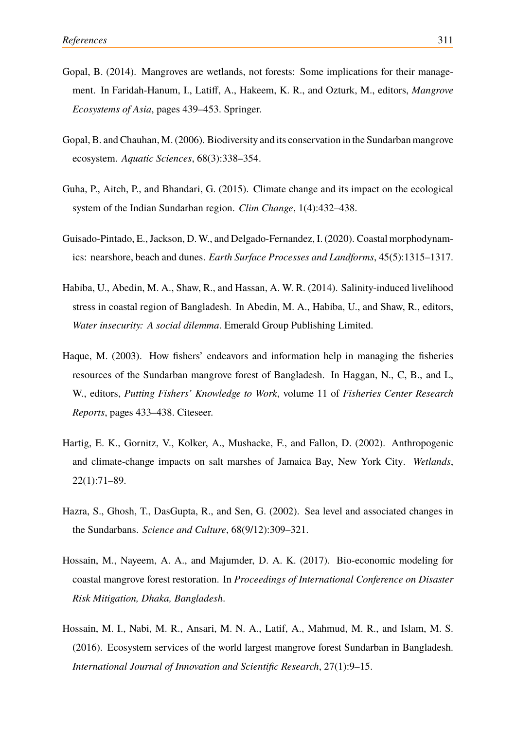- Gopal, B. (2014). Mangroves are wetlands, not forests: Some implications for their management. In Faridah-Hanum, I., Latiff, A., Hakeem, K. R., and Ozturk, M., editors, *Mangrove Ecosystems of Asia*, pages 439–453. Springer.
- Gopal, B. and Chauhan, M. (2006). Biodiversity and its conservation in the Sundarban mangrove ecosystem. *Aquatic Sciences*, 68(3):338–354.
- Guha, P., Aitch, P., and Bhandari, G. (2015). Climate change and its impact on the ecological system of the Indian Sundarban region. *Clim Change*, 1(4):432–438.
- Guisado-Pintado, E., Jackson, D.W., and Delgado-Fernandez, I. (2020). Coastal morphodynamics: nearshore, beach and dunes. *Earth Surface Processes and Landforms*, 45(5):1315–1317.
- Habiba, U., Abedin, M. A., Shaw, R., and Hassan, A. W. R. (2014). Salinity-induced livelihood stress in coastal region of Bangladesh. In Abedin, M. A., Habiba, U., and Shaw, R., editors, *Water insecurity: A social dilemma*. Emerald Group Publishing Limited.
- Haque, M. (2003). How fishers' endeavors and information help in managing the fisheries resources of the Sundarban mangrove forest of Bangladesh. In Haggan, N., C, B., and L, W., editors, *Putting Fishers' Knowledge to Work*, volume 11 of *Fisheries Center Research Reports*, pages 433–438. Citeseer.
- Hartig, E. K., Gornitz, V., Kolker, A., Mushacke, F., and Fallon, D. (2002). Anthropogenic and climate-change impacts on salt marshes of Jamaica Bay, New York City. *Wetlands*, 22(1):71–89.
- Hazra, S., Ghosh, T., DasGupta, R., and Sen, G. (2002). Sea level and associated changes in the Sundarbans. *Science and Culture*, 68(9/12):309–321.
- Hossain, M., Nayeem, A. A., and Majumder, D. A. K. (2017). Bio-economic modeling for coastal mangrove forest restoration. In *Proceedings of International Conference on Disaster Risk Mitigation, Dhaka, Bangladesh*.
- Hossain, M. I., Nabi, M. R., Ansari, M. N. A., Latif, A., Mahmud, M. R., and Islam, M. S. (2016). Ecosystem services of the world largest mangrove forest Sundarban in Bangladesh. *International Journal of Innovation and Scientific Research*, 27(1):9–15.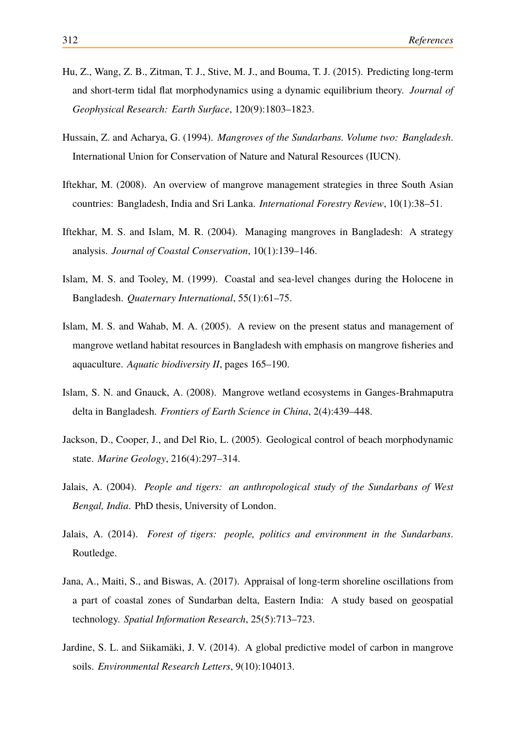- Hu, Z., Wang, Z. B., Zitman, T. J., Stive, M. J., and Bouma, T. J. (2015). Predicting long-term and short-term tidal flat morphodynamics using a dynamic equilibrium theory. *Journal of Geophysical Research: Earth Surface*, 120(9):1803–1823.
- Hussain, Z. and Acharya, G. (1994). *Mangroves of the Sundarbans. Volume two: Bangladesh*. International Union for Conservation of Nature and Natural Resources (IUCN).
- Iftekhar, M. (2008). An overview of mangrove management strategies in three South Asian countries: Bangladesh, India and Sri Lanka. *International Forestry Review*, 10(1):38–51.
- Iftekhar, M. S. and Islam, M. R. (2004). Managing mangroves in Bangladesh: A strategy analysis. *Journal of Coastal Conservation*, 10(1):139–146.
- Islam, M. S. and Tooley, M. (1999). Coastal and sea-level changes during the Holocene in Bangladesh. *Quaternary International*, 55(1):61–75.
- Islam, M. S. and Wahab, M. A. (2005). A review on the present status and management of mangrove wetland habitat resources in Bangladesh with emphasis on mangrove fisheries and aquaculture. *Aquatic biodiversity II*, pages 165–190.
- Islam, S. N. and Gnauck, A. (2008). Mangrove wetland ecosystems in Ganges-Brahmaputra delta in Bangladesh. *Frontiers of Earth Science in China*, 2(4):439–448.
- Jackson, D., Cooper, J., and Del Rio, L. (2005). Geological control of beach morphodynamic state. *Marine Geology*, 216(4):297–314.
- Jalais, A. (2004). *People and tigers: an anthropological study of the Sundarbans of West Bengal, India*. PhD thesis, University of London.
- Jalais, A. (2014). *Forest of tigers: people, politics and environment in the Sundarbans*. Routledge.
- Jana, A., Maiti, S., and Biswas, A. (2017). Appraisal of long-term shoreline oscillations from a part of coastal zones of Sundarban delta, Eastern India: A study based on geospatial technology. *Spatial Information Research*, 25(5):713–723.
- Jardine, S. L. and Siikamäki, J. V. (2014). A global predictive model of carbon in mangrove soils. *Environmental Research Letters*, 9(10):104013.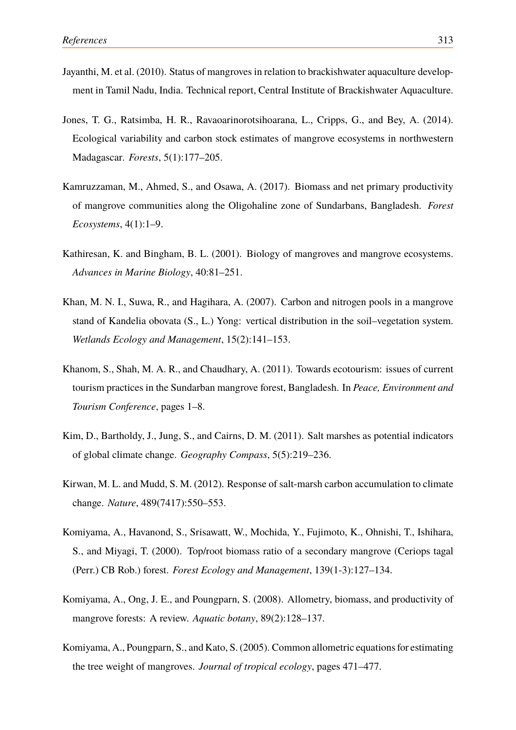- Jayanthi, M. et al. (2010). Status of mangroves in relation to brackishwater aquaculture development in Tamil Nadu, India. Technical report, Central Institute of Brackishwater Aquaculture.
- Jones, T. G., Ratsimba, H. R., Ravaoarinorotsihoarana, L., Cripps, G., and Bey, A. (2014). Ecological variability and carbon stock estimates of mangrove ecosystems in northwestern Madagascar. *Forests*, 5(1):177–205.
- Kamruzzaman, M., Ahmed, S., and Osawa, A. (2017). Biomass and net primary productivity of mangrove communities along the Oligohaline zone of Sundarbans, Bangladesh. *Forest Ecosystems*, 4(1):1–9.
- Kathiresan, K. and Bingham, B. L. (2001). Biology of mangroves and mangrove ecosystems. *Advances in Marine Biology*, 40:81–251.
- Khan, M. N. I., Suwa, R., and Hagihara, A. (2007). Carbon and nitrogen pools in a mangrove stand of Kandelia obovata (S., L.) Yong: vertical distribution in the soil–vegetation system. *Wetlands Ecology and Management*, 15(2):141–153.
- Khanom, S., Shah, M. A. R., and Chaudhary, A. (2011). Towards ecotourism: issues of current tourism practices in the Sundarban mangrove forest, Bangladesh. In *Peace, Environment and Tourism Conference*, pages 1–8.
- Kim, D., Bartholdy, J., Jung, S., and Cairns, D. M. (2011). Salt marshes as potential indicators of global climate change. *Geography Compass*, 5(5):219–236.
- Kirwan, M. L. and Mudd, S. M. (2012). Response of salt-marsh carbon accumulation to climate change. *Nature*, 489(7417):550–553.
- Komiyama, A., Havanond, S., Srisawatt, W., Mochida, Y., Fujimoto, K., Ohnishi, T., Ishihara, S., and Miyagi, T. (2000). Top/root biomass ratio of a secondary mangrove (Ceriops tagal (Perr.) CB Rob.) forest. *Forest Ecology and Management*, 139(1-3):127–134.
- Komiyama, A., Ong, J. E., and Poungparn, S. (2008). Allometry, biomass, and productivity of mangrove forests: A review. *Aquatic botany*, 89(2):128–137.
- Komiyama, A., Poungparn, S., and Kato, S. (2005). Common allometric equations for estimating the tree weight of mangroves. *Journal of tropical ecology*, pages 471–477.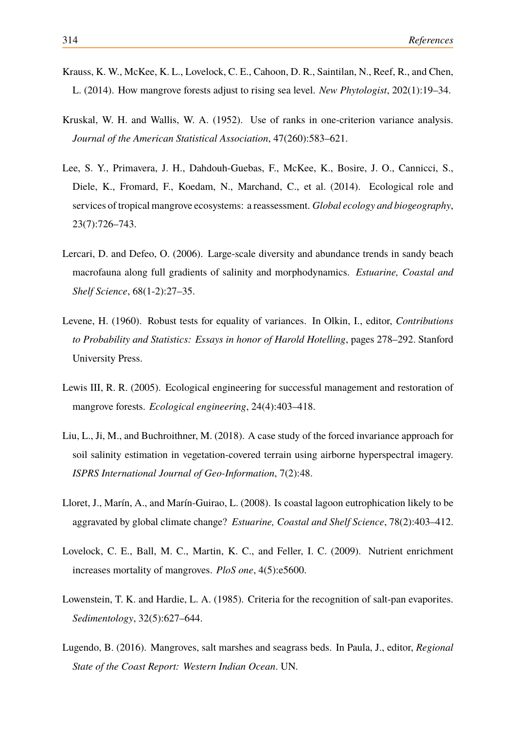- Krauss, K. W., McKee, K. L., Lovelock, C. E., Cahoon, D. R., Saintilan, N., Reef, R., and Chen, L. (2014). How mangrove forests adjust to rising sea level. *New Phytologist*, 202(1):19–34.
- Kruskal, W. H. and Wallis, W. A. (1952). Use of ranks in one-criterion variance analysis. *Journal of the American Statistical Association*, 47(260):583–621.
- Lee, S. Y., Primavera, J. H., Dahdouh-Guebas, F., McKee, K., Bosire, J. O., Cannicci, S., Diele, K., Fromard, F., Koedam, N., Marchand, C., et al. (2014). Ecological role and services of tropical mangrove ecosystems: a reassessment. *Global ecology and biogeography*, 23(7):726–743.
- Lercari, D. and Defeo, O. (2006). Large-scale diversity and abundance trends in sandy beach macrofauna along full gradients of salinity and morphodynamics. *Estuarine, Coastal and Shelf Science*, 68(1-2):27–35.
- Levene, H. (1960). Robust tests for equality of variances. In Olkin, I., editor, *Contributions to Probability and Statistics: Essays in honor of Harold Hotelling*, pages 278–292. Stanford University Press.
- Lewis III, R. R. (2005). Ecological engineering for successful management and restoration of mangrove forests. *Ecological engineering*, 24(4):403–418.
- Liu, L., Ji, M., and Buchroithner, M. (2018). A case study of the forced invariance approach for soil salinity estimation in vegetation-covered terrain using airborne hyperspectral imagery. *ISPRS International Journal of Geo-Information*, 7(2):48.
- Lloret, J., Marín, A., and Marín-Guirao, L. (2008). Is coastal lagoon eutrophication likely to be aggravated by global climate change? *Estuarine, Coastal and Shelf Science*, 78(2):403–412.
- Lovelock, C. E., Ball, M. C., Martin, K. C., and Feller, I. C. (2009). Nutrient enrichment increases mortality of mangroves. *PloS one*, 4(5):e5600.
- Lowenstein, T. K. and Hardie, L. A. (1985). Criteria for the recognition of salt-pan evaporites. *Sedimentology*, 32(5):627–644.
- Lugendo, B. (2016). Mangroves, salt marshes and seagrass beds. In Paula, J., editor, *Regional State of the Coast Report: Western Indian Ocean*. UN.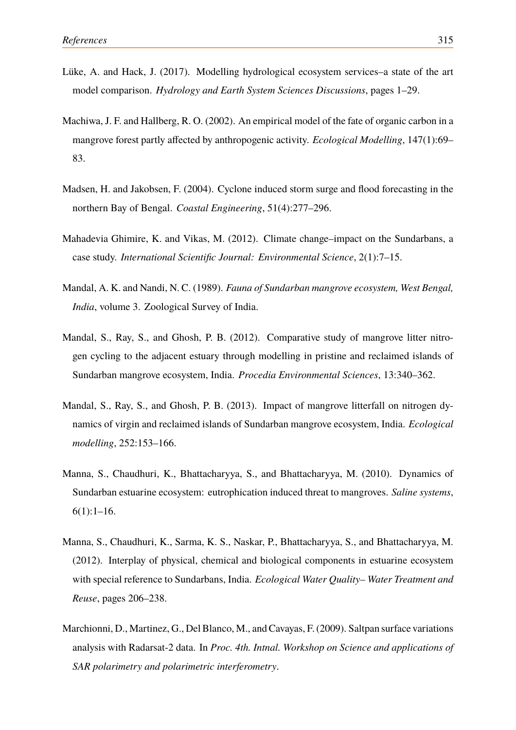- Lüke, A. and Hack, J. (2017). Modelling hydrological ecosystem services–a state of the art model comparison. *Hydrology and Earth System Sciences Discussions*, pages 1–29.
- Machiwa, J. F. and Hallberg, R. O. (2002). An empirical model of the fate of organic carbon in a mangrove forest partly affected by anthropogenic activity. *Ecological Modelling*, 147(1):69– 83.
- Madsen, H. and Jakobsen, F. (2004). Cyclone induced storm surge and flood forecasting in the northern Bay of Bengal. *Coastal Engineering*, 51(4):277–296.
- Mahadevia Ghimire, K. and Vikas, M. (2012). Climate change–impact on the Sundarbans, a case study. *International Scientific Journal: Environmental Science*, 2(1):7–15.
- Mandal, A. K. and Nandi, N. C. (1989). *Fauna of Sundarban mangrove ecosystem, West Bengal, India*, volume 3. Zoological Survey of India.
- Mandal, S., Ray, S., and Ghosh, P. B. (2012). Comparative study of mangrove litter nitrogen cycling to the adjacent estuary through modelling in pristine and reclaimed islands of Sundarban mangrove ecosystem, India. *Procedia Environmental Sciences*, 13:340–362.
- Mandal, S., Ray, S., and Ghosh, P. B. (2013). Impact of mangrove litterfall on nitrogen dynamics of virgin and reclaimed islands of Sundarban mangrove ecosystem, India. *Ecological modelling*, 252:153–166.
- Manna, S., Chaudhuri, K., Bhattacharyya, S., and Bhattacharyya, M. (2010). Dynamics of Sundarban estuarine ecosystem: eutrophication induced threat to mangroves. *Saline systems*, 6(1):1–16.
- Manna, S., Chaudhuri, K., Sarma, K. S., Naskar, P., Bhattacharyya, S., and Bhattacharyya, M. (2012). Interplay of physical, chemical and biological components in estuarine ecosystem with special reference to Sundarbans, India. *Ecological Water Quality– Water Treatment and Reuse*, pages 206–238.
- Marchionni, D., Martinez, G., Del Blanco, M., and Cavayas, F. (2009). Saltpan surface variations analysis with Radarsat-2 data. In *Proc. 4th. Intnal. Workshop on Science and applications of SAR polarimetry and polarimetric interferometry*.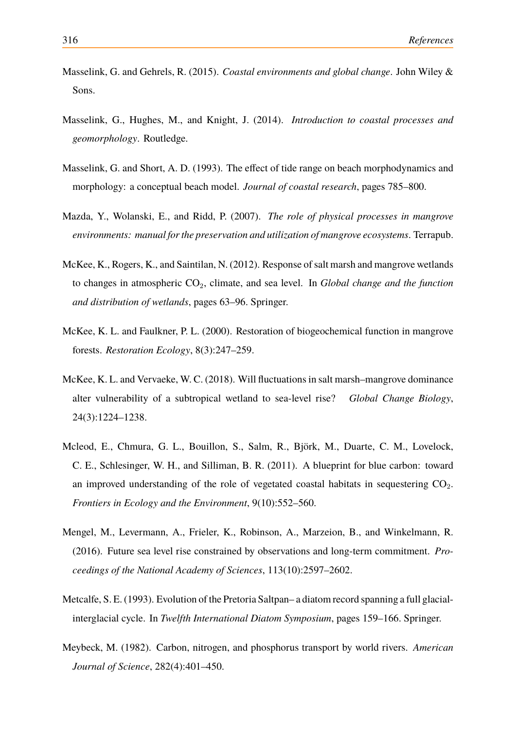- Masselink, G. and Gehrels, R. (2015). *Coastal environments and global change*. John Wiley & Sons.
- Masselink, G., Hughes, M., and Knight, J. (2014). *Introduction to coastal processes and geomorphology*. Routledge.
- Masselink, G. and Short, A. D. (1993). The effect of tide range on beach morphodynamics and morphology: a conceptual beach model. *Journal of coastal research*, pages 785–800.
- Mazda, Y., Wolanski, E., and Ridd, P. (2007). *The role of physical processes in mangrove environments: manual for the preservation and utilization of mangrove ecosystems*. Terrapub.
- McKee, K., Rogers, K., and Saintilan, N. (2012). Response of salt marsh and mangrove wetlands to changes in atmospheric CO2, climate, and sea level. In *Global change and the function and distribution of wetlands*, pages 63–96. Springer.
- McKee, K. L. and Faulkner, P. L. (2000). Restoration of biogeochemical function in mangrove forests. *Restoration Ecology*, 8(3):247–259.
- McKee, K. L. and Vervaeke, W. C. (2018). Will fluctuations in salt marsh–mangrove dominance alter vulnerability of a subtropical wetland to sea-level rise? *Global Change Biology*, 24(3):1224–1238.
- Mcleod, E., Chmura, G. L., Bouillon, S., Salm, R., Björk, M., Duarte, C. M., Lovelock, C. E., Schlesinger, W. H., and Silliman, B. R. (2011). A blueprint for blue carbon: toward an improved understanding of the role of vegetated coastal habitats in sequestering  $CO<sub>2</sub>$ . *Frontiers in Ecology and the Environment*, 9(10):552–560.
- Mengel, M., Levermann, A., Frieler, K., Robinson, A., Marzeion, B., and Winkelmann, R. (2016). Future sea level rise constrained by observations and long-term commitment. *Proceedings of the National Academy of Sciences*, 113(10):2597–2602.
- Metcalfe, S. E. (1993). Evolution of the Pretoria Saltpan– a diatom record spanning a full glacialinterglacial cycle. In *Twelfth International Diatom Symposium*, pages 159–166. Springer.
- Meybeck, M. (1982). Carbon, nitrogen, and phosphorus transport by world rivers. *American Journal of Science*, 282(4):401–450.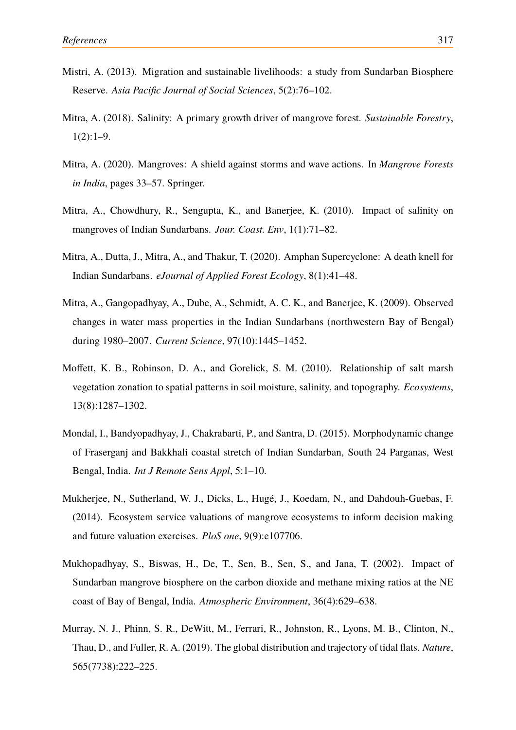- Mistri, A. (2013). Migration and sustainable livelihoods: a study from Sundarban Biosphere Reserve. *Asia Pacific Journal of Social Sciences*, 5(2):76–102.
- Mitra, A. (2018). Salinity: A primary growth driver of mangrove forest. *Sustainable Forestry*,  $1(2):1-9.$
- Mitra, A. (2020). Mangroves: A shield against storms and wave actions. In *Mangrove Forests in India*, pages 33–57. Springer.
- Mitra, A., Chowdhury, R., Sengupta, K., and Banerjee, K. (2010). Impact of salinity on mangroves of Indian Sundarbans. *Jour. Coast. Env*, 1(1):71–82.
- Mitra, A., Dutta, J., Mitra, A., and Thakur, T. (2020). Amphan Supercyclone: A death knell for Indian Sundarbans. *eJournal of Applied Forest Ecology*, 8(1):41–48.
- Mitra, A., Gangopadhyay, A., Dube, A., Schmidt, A. C. K., and Banerjee, K. (2009). Observed changes in water mass properties in the Indian Sundarbans (northwestern Bay of Bengal) during 1980–2007. *Current Science*, 97(10):1445–1452.
- Moffett, K. B., Robinson, D. A., and Gorelick, S. M. (2010). Relationship of salt marsh vegetation zonation to spatial patterns in soil moisture, salinity, and topography. *Ecosystems*, 13(8):1287–1302.
- Mondal, I., Bandyopadhyay, J., Chakrabarti, P., and Santra, D. (2015). Morphodynamic change of Fraserganj and Bakkhali coastal stretch of Indian Sundarban, South 24 Parganas, West Bengal, India. *Int J Remote Sens Appl*, 5:1–10.
- Mukherjee, N., Sutherland, W. J., Dicks, L., Hugé, J., Koedam, N., and Dahdouh-Guebas, F. (2014). Ecosystem service valuations of mangrove ecosystems to inform decision making and future valuation exercises. *PloS one*, 9(9):e107706.
- Mukhopadhyay, S., Biswas, H., De, T., Sen, B., Sen, S., and Jana, T. (2002). Impact of Sundarban mangrove biosphere on the carbon dioxide and methane mixing ratios at the NE coast of Bay of Bengal, India. *Atmospheric Environment*, 36(4):629–638.
- Murray, N. J., Phinn, S. R., DeWitt, M., Ferrari, R., Johnston, R., Lyons, M. B., Clinton, N., Thau, D., and Fuller, R. A. (2019). The global distribution and trajectory of tidal flats. *Nature*, 565(7738):222–225.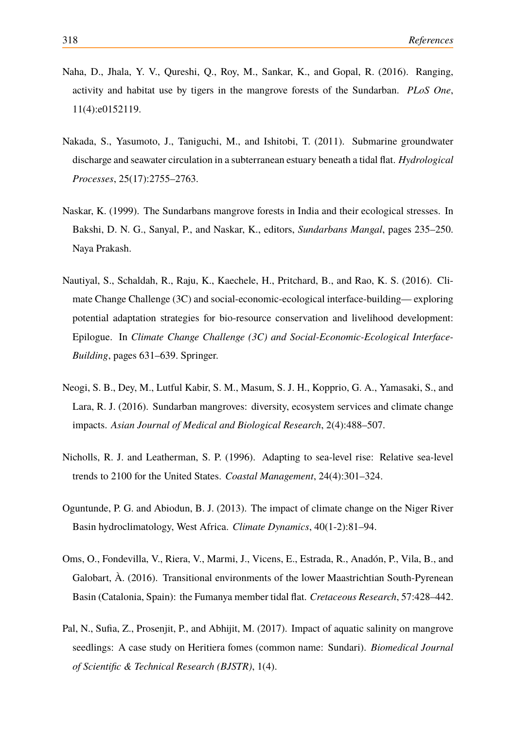- Naha, D., Jhala, Y. V., Qureshi, Q., Roy, M., Sankar, K., and Gopal, R. (2016). Ranging, activity and habitat use by tigers in the mangrove forests of the Sundarban. *PLoS One*, 11(4):e0152119.
- Nakada, S., Yasumoto, J., Taniguchi, M., and Ishitobi, T. (2011). Submarine groundwater discharge and seawater circulation in a subterranean estuary beneath a tidal flat. *Hydrological Processes*, 25(17):2755–2763.
- Naskar, K. (1999). The Sundarbans mangrove forests in India and their ecological stresses. In Bakshi, D. N. G., Sanyal, P., and Naskar, K., editors, *Sundarbans Mangal*, pages 235–250. Naya Prakash.
- Nautiyal, S., Schaldah, R., Raju, K., Kaechele, H., Pritchard, B., and Rao, K. S. (2016). Climate Change Challenge (3C) and social-economic-ecological interface-building— exploring potential adaptation strategies for bio-resource conservation and livelihood development: Epilogue. In *Climate Change Challenge (3C) and Social-Economic-Ecological Interface-Building*, pages 631–639. Springer.
- Neogi, S. B., Dey, M., Lutful Kabir, S. M., Masum, S. J. H., Kopprio, G. A., Yamasaki, S., and Lara, R. J. (2016). Sundarban mangroves: diversity, ecosystem services and climate change impacts. *Asian Journal of Medical and Biological Research*, 2(4):488–507.
- Nicholls, R. J. and Leatherman, S. P. (1996). Adapting to sea-level rise: Relative sea-level trends to 2100 for the United States. *Coastal Management*, 24(4):301–324.
- Oguntunde, P. G. and Abiodun, B. J. (2013). The impact of climate change on the Niger River Basin hydroclimatology, West Africa. *Climate Dynamics*, 40(1-2):81–94.
- Oms, O., Fondevilla, V., Riera, V., Marmi, J., Vicens, E., Estrada, R., Anadón, P., Vila, B., and Galobart, À. (2016). Transitional environments of the lower Maastrichtian South-Pyrenean Basin (Catalonia, Spain): the Fumanya member tidal flat. *Cretaceous Research*, 57:428–442.
- Pal, N., Sufia, Z., Prosenjit, P., and Abhijit, M. (2017). Impact of aquatic salinity on mangrove seedlings: A case study on Heritiera fomes (common name: Sundari). *Biomedical Journal of Scientific & Technical Research (BJSTR)*, 1(4).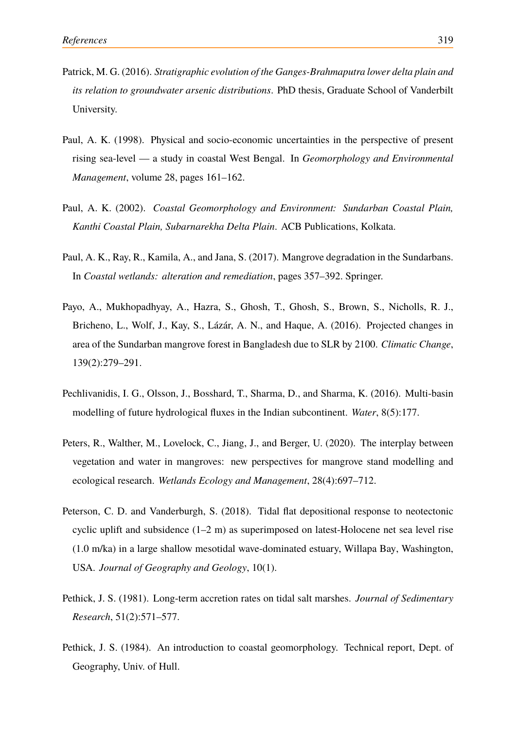- Patrick, M. G. (2016). *Stratigraphic evolution of the Ganges-Brahmaputra lower delta plain and its relation to groundwater arsenic distributions*. PhD thesis, Graduate School of Vanderbilt University.
- Paul, A. K. (1998). Physical and socio-economic uncertainties in the perspective of present rising sea-level — a study in coastal West Bengal. In *Geomorphology and Environmental Management*, volume 28, pages 161–162.
- Paul, A. K. (2002). *Coastal Geomorphology and Environment: Sundarban Coastal Plain, Kanthi Coastal Plain, Subarnarekha Delta Plain*. ACB Publications, Kolkata.
- Paul, A. K., Ray, R., Kamila, A., and Jana, S. (2017). Mangrove degradation in the Sundarbans. In *Coastal wetlands: alteration and remediation*, pages 357–392. Springer.
- Payo, A., Mukhopadhyay, A., Hazra, S., Ghosh, T., Ghosh, S., Brown, S., Nicholls, R. J., Bricheno, L., Wolf, J., Kay, S., Lázár, A. N., and Haque, A. (2016). Projected changes in area of the Sundarban mangrove forest in Bangladesh due to SLR by 2100. *Climatic Change*, 139(2):279–291.
- Pechlivanidis, I. G., Olsson, J., Bosshard, T., Sharma, D., and Sharma, K. (2016). Multi-basin modelling of future hydrological fluxes in the Indian subcontinent. *Water*, 8(5):177.
- Peters, R., Walther, M., Lovelock, C., Jiang, J., and Berger, U. (2020). The interplay between vegetation and water in mangroves: new perspectives for mangrove stand modelling and ecological research. *Wetlands Ecology and Management*, 28(4):697–712.
- Peterson, C. D. and Vanderburgh, S. (2018). Tidal flat depositional response to neotectonic cyclic uplift and subsidence  $(1-2 \text{ m})$  as superimposed on latest-Holocene net sea level rise (1.0 m/ka) in a large shallow mesotidal wave-dominated estuary, Willapa Bay, Washington, USA. *Journal of Geography and Geology*, 10(1).
- Pethick, J. S. (1981). Long-term accretion rates on tidal salt marshes. *Journal of Sedimentary Research*, 51(2):571–577.
- Pethick, J. S. (1984). An introduction to coastal geomorphology. Technical report, Dept. of Geography, Univ. of Hull.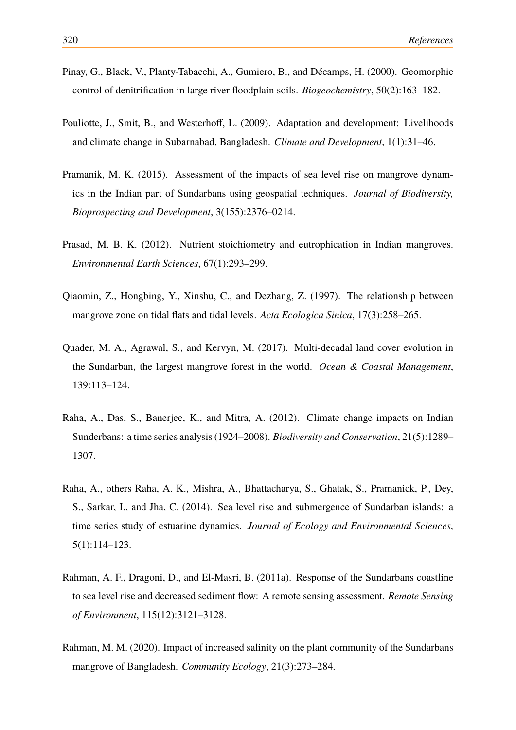- Pinay, G., Black, V., Planty-Tabacchi, A., Gumiero, B., and Décamps, H. (2000). Geomorphic control of denitrification in large river floodplain soils. *Biogeochemistry*, 50(2):163–182.
- Pouliotte, J., Smit, B., and Westerhoff, L. (2009). Adaptation and development: Livelihoods and climate change in Subarnabad, Bangladesh. *Climate and Development*, 1(1):31–46.
- Pramanik, M. K. (2015). Assessment of the impacts of sea level rise on mangrove dynamics in the Indian part of Sundarbans using geospatial techniques. *Journal of Biodiversity, Bioprospecting and Development*, 3(155):2376–0214.
- Prasad, M. B. K. (2012). Nutrient stoichiometry and eutrophication in Indian mangroves. *Environmental Earth Sciences*, 67(1):293–299.
- Qiaomin, Z., Hongbing, Y., Xinshu, C., and Dezhang, Z. (1997). The relationship between mangrove zone on tidal flats and tidal levels. *Acta Ecologica Sinica*, 17(3):258–265.
- Quader, M. A., Agrawal, S., and Kervyn, M. (2017). Multi-decadal land cover evolution in the Sundarban, the largest mangrove forest in the world. *Ocean & Coastal Management*, 139:113–124.
- Raha, A., Das, S., Banerjee, K., and Mitra, A. (2012). Climate change impacts on Indian Sunderbans: a time series analysis (1924–2008). *Biodiversity and Conservation*, 21(5):1289– 1307.
- Raha, A., others Raha, A. K., Mishra, A., Bhattacharya, S., Ghatak, S., Pramanick, P., Dey, S., Sarkar, I., and Jha, C. (2014). Sea level rise and submergence of Sundarban islands: a time series study of estuarine dynamics. *Journal of Ecology and Environmental Sciences*, 5(1):114–123.
- Rahman, A. F., Dragoni, D., and El-Masri, B. (2011a). Response of the Sundarbans coastline to sea level rise and decreased sediment flow: A remote sensing assessment. *Remote Sensing of Environment*, 115(12):3121–3128.
- Rahman, M. M. (2020). Impact of increased salinity on the plant community of the Sundarbans mangrove of Bangladesh. *Community Ecology*, 21(3):273–284.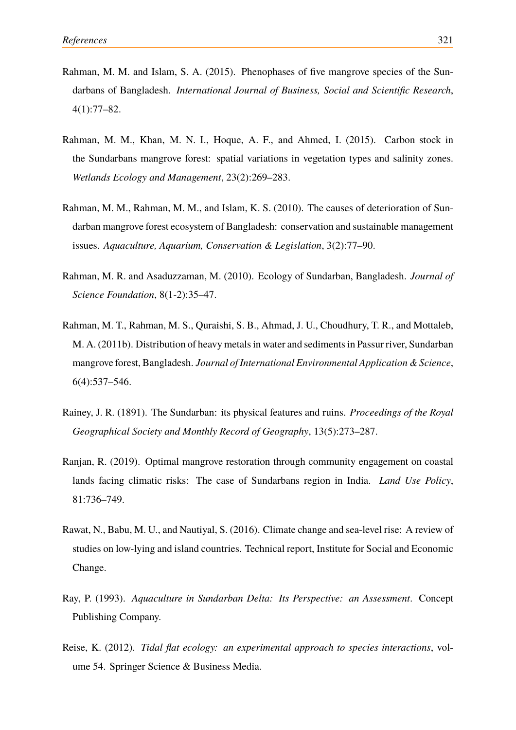- Rahman, M. M. and Islam, S. A. (2015). Phenophases of five mangrove species of the Sundarbans of Bangladesh. *International Journal of Business, Social and Scientific Research*, 4(1):77–82.
- Rahman, M. M., Khan, M. N. I., Hoque, A. F., and Ahmed, I. (2015). Carbon stock in the Sundarbans mangrove forest: spatial variations in vegetation types and salinity zones. *Wetlands Ecology and Management*, 23(2):269–283.
- Rahman, M. M., Rahman, M. M., and Islam, K. S. (2010). The causes of deterioration of Sundarban mangrove forest ecosystem of Bangladesh: conservation and sustainable management issues. *Aquaculture, Aquarium, Conservation & Legislation*, 3(2):77–90.
- Rahman, M. R. and Asaduzzaman, M. (2010). Ecology of Sundarban, Bangladesh. *Journal of Science Foundation*, 8(1-2):35–47.
- Rahman, M. T., Rahman, M. S., Quraishi, S. B., Ahmad, J. U., Choudhury, T. R., and Mottaleb, M. A. (2011b). Distribution of heavy metals in water and sediments in Passur river, Sundarban mangrove forest, Bangladesh. *Journal of International Environmental Application & Science*, 6(4):537–546.
- Rainey, J. R. (1891). The Sundarban: its physical features and ruins. *Proceedings of the Royal Geographical Society and Monthly Record of Geography*, 13(5):273–287.
- Ranjan, R. (2019). Optimal mangrove restoration through community engagement on coastal lands facing climatic risks: The case of Sundarbans region in India. *Land Use Policy*, 81:736–749.
- Rawat, N., Babu, M. U., and Nautiyal, S. (2016). Climate change and sea-level rise: A review of studies on low-lying and island countries. Technical report, Institute for Social and Economic Change.
- Ray, P. (1993). *Aquaculture in Sundarban Delta: Its Perspective: an Assessment*. Concept Publishing Company.
- Reise, K. (2012). *Tidal flat ecology: an experimental approach to species interactions*, volume 54. Springer Science & Business Media.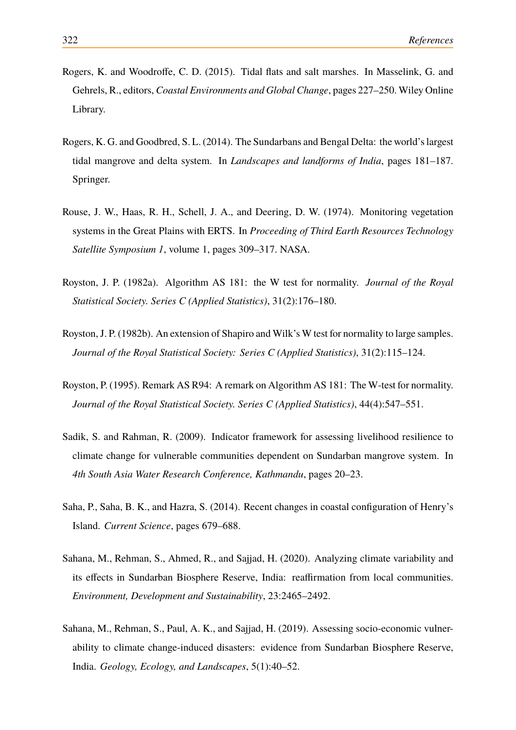- Rogers, K. and Woodroffe, C. D. (2015). Tidal flats and salt marshes. In Masselink, G. and Gehrels, R., editors, *Coastal Environments and Global Change*, pages 227–250. Wiley Online Library.
- Rogers, K. G. and Goodbred, S. L. (2014). The Sundarbans and Bengal Delta: the world's largest tidal mangrove and delta system. In *Landscapes and landforms of India*, pages 181–187. Springer.
- Rouse, J. W., Haas, R. H., Schell, J. A., and Deering, D. W. (1974). Monitoring vegetation systems in the Great Plains with ERTS. In *Proceeding of Third Earth Resources Technology Satellite Symposium 1*, volume 1, pages 309–317. NASA.
- Royston, J. P. (1982a). Algorithm AS 181: the W test for normality. *Journal of the Royal Statistical Society. Series C (Applied Statistics)*, 31(2):176–180.
- Royston, J. P. (1982b). An extension of Shapiro and Wilk's W test for normality to large samples. *Journal of the Royal Statistical Society: Series C (Applied Statistics)*, 31(2):115–124.
- Royston, P. (1995). Remark AS R94: A remark on Algorithm AS 181: The W-test for normality. *Journal of the Royal Statistical Society. Series C (Applied Statistics)*, 44(4):547–551.
- Sadik, S. and Rahman, R. (2009). Indicator framework for assessing livelihood resilience to climate change for vulnerable communities dependent on Sundarban mangrove system. In *4th South Asia Water Research Conference, Kathmandu*, pages 20–23.
- Saha, P., Saha, B. K., and Hazra, S. (2014). Recent changes in coastal configuration of Henry's Island. *Current Science*, pages 679–688.
- Sahana, M., Rehman, S., Ahmed, R., and Sajjad, H. (2020). Analyzing climate variability and its effects in Sundarban Biosphere Reserve, India: reaffirmation from local communities. *Environment, Development and Sustainability*, 23:2465–2492.
- Sahana, M., Rehman, S., Paul, A. K., and Sajjad, H. (2019). Assessing socio-economic vulnerability to climate change-induced disasters: evidence from Sundarban Biosphere Reserve, India. *Geology, Ecology, and Landscapes*, 5(1):40–52.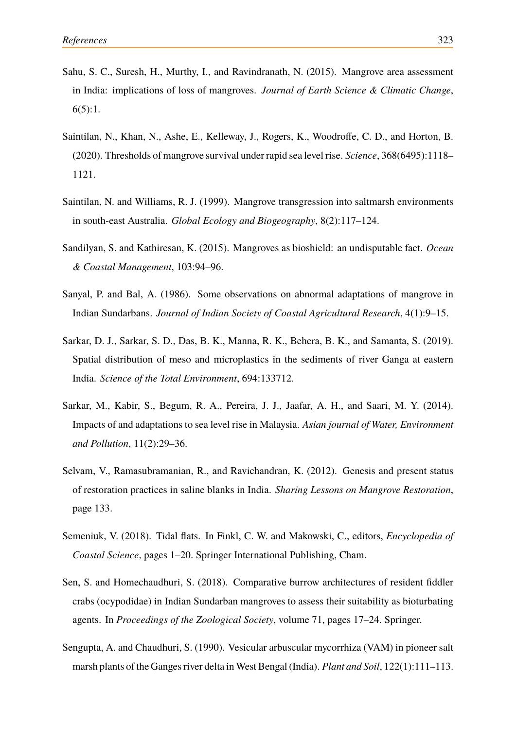- Sahu, S. C., Suresh, H., Murthy, I., and Ravindranath, N. (2015). Mangrove area assessment in India: implications of loss of mangroves. *Journal of Earth Science & Climatic Change*, 6(5):1.
- Saintilan, N., Khan, N., Ashe, E., Kelleway, J., Rogers, K., Woodroffe, C. D., and Horton, B. (2020). Thresholds of mangrove survival under rapid sea level rise. *Science*, 368(6495):1118– 1121.
- Saintilan, N. and Williams, R. J. (1999). Mangrove transgression into saltmarsh environments in south-east Australia. *Global Ecology and Biogeography*, 8(2):117–124.
- Sandilyan, S. and Kathiresan, K. (2015). Mangroves as bioshield: an undisputable fact. *Ocean & Coastal Management*, 103:94–96.
- Sanyal, P. and Bal, A. (1986). Some observations on abnormal adaptations of mangrove in Indian Sundarbans. *Journal of Indian Society of Coastal Agricultural Research*, 4(1):9–15.
- Sarkar, D. J., Sarkar, S. D., Das, B. K., Manna, R. K., Behera, B. K., and Samanta, S. (2019). Spatial distribution of meso and microplastics in the sediments of river Ganga at eastern India. *Science of the Total Environment*, 694:133712.
- Sarkar, M., Kabir, S., Begum, R. A., Pereira, J. J., Jaafar, A. H., and Saari, M. Y. (2014). Impacts of and adaptations to sea level rise in Malaysia. *Asian journal of Water, Environment and Pollution*, 11(2):29–36.
- Selvam, V., Ramasubramanian, R., and Ravichandran, K. (2012). Genesis and present status of restoration practices in saline blanks in India. *Sharing Lessons on Mangrove Restoration*, page 133.
- Semeniuk, V. (2018). Tidal flats. In Finkl, C. W. and Makowski, C., editors, *Encyclopedia of Coastal Science*, pages 1–20. Springer International Publishing, Cham.
- Sen, S. and Homechaudhuri, S. (2018). Comparative burrow architectures of resident fiddler crabs (ocypodidae) in Indian Sundarban mangroves to assess their suitability as bioturbating agents. In *Proceedings of the Zoological Society*, volume 71, pages 17–24. Springer.
- Sengupta, A. and Chaudhuri, S. (1990). Vesicular arbuscular mycorrhiza (VAM) in pioneer salt marsh plants of the Ganges river delta in West Bengal (India). *Plant and Soil*, 122(1):111–113.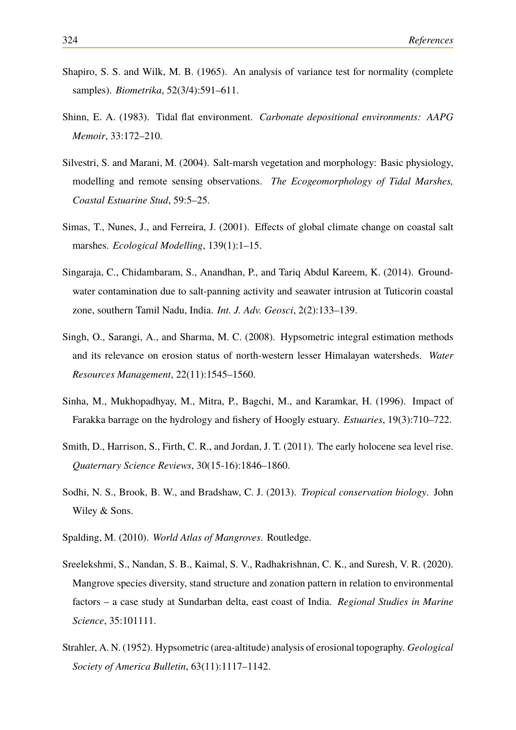- Shapiro, S. S. and Wilk, M. B. (1965). An analysis of variance test for normality (complete samples). *Biometrika*, 52(3/4):591–611.
- Shinn, E. A. (1983). Tidal flat environment. *Carbonate depositional environments: AAPG Memoir*, 33:172–210.
- Silvestri, S. and Marani, M. (2004). Salt-marsh vegetation and morphology: Basic physiology, modelling and remote sensing observations. *The Ecogeomorphology of Tidal Marshes, Coastal Estuarine Stud*, 59:5–25.
- Simas, T., Nunes, J., and Ferreira, J. (2001). Effects of global climate change on coastal salt marshes. *Ecological Modelling*, 139(1):1–15.
- Singaraja, C., Chidambaram, S., Anandhan, P., and Tariq Abdul Kareem, K. (2014). Groundwater contamination due to salt-panning activity and seawater intrusion at Tuticorin coastal zone, southern Tamil Nadu, India. *Int. J. Adv. Geosci*, 2(2):133–139.
- Singh, O., Sarangi, A., and Sharma, M. C. (2008). Hypsometric integral estimation methods and its relevance on erosion status of north-western lesser Himalayan watersheds. *Water Resources Management*, 22(11):1545–1560.
- Sinha, M., Mukhopadhyay, M., Mitra, P., Bagchi, M., and Karamkar, H. (1996). Impact of Farakka barrage on the hydrology and fishery of Hoogly estuary. *Estuaries*, 19(3):710–722.
- Smith, D., Harrison, S., Firth, C. R., and Jordan, J. T. (2011). The early holocene sea level rise. *Quaternary Science Reviews*, 30(15-16):1846–1860.
- Sodhi, N. S., Brook, B. W., and Bradshaw, C. J. (2013). *Tropical conservation biology*. John Wiley & Sons.
- Spalding, M. (2010). *World Atlas of Mangroves*. Routledge.
- Sreelekshmi, S., Nandan, S. B., Kaimal, S. V., Radhakrishnan, C. K., and Suresh, V. R. (2020). Mangrove species diversity, stand structure and zonation pattern in relation to environmental factors – a case study at Sundarban delta, east coast of India. *Regional Studies in Marine Science*, 35:101111.
- Strahler, A. N. (1952). Hypsometric (area-altitude) analysis of erosional topography. *Geological Society of America Bulletin*, 63(11):1117–1142.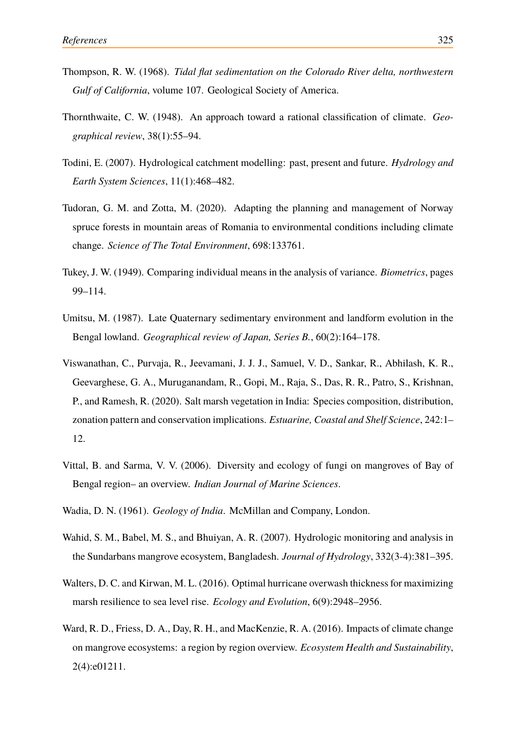- Thompson, R. W. (1968). *Tidal flat sedimentation on the Colorado River delta, northwestern Gulf of California*, volume 107. Geological Society of America.
- Thornthwaite, C. W. (1948). An approach toward a rational classification of climate. *Geographical review*, 38(1):55–94.
- Todini, E. (2007). Hydrological catchment modelling: past, present and future. *Hydrology and Earth System Sciences*, 11(1):468–482.
- Tudoran, G. M. and Zotta, M. (2020). Adapting the planning and management of Norway spruce forests in mountain areas of Romania to environmental conditions including climate change. *Science of The Total Environment*, 698:133761.
- Tukey, J. W. (1949). Comparing individual means in the analysis of variance. *Biometrics*, pages 99–114.
- Umitsu, M. (1987). Late Quaternary sedimentary environment and landform evolution in the Bengal lowland. *Geographical review of Japan, Series B.*, 60(2):164–178.
- Viswanathan, C., Purvaja, R., Jeevamani, J. J. J., Samuel, V. D., Sankar, R., Abhilash, K. R., Geevarghese, G. A., Muruganandam, R., Gopi, M., Raja, S., Das, R. R., Patro, S., Krishnan, P., and Ramesh, R. (2020). Salt marsh vegetation in India: Species composition, distribution, zonation pattern and conservation implications. *Estuarine, Coastal and Shelf Science*, 242:1– 12.
- Vittal, B. and Sarma, V. V. (2006). Diversity and ecology of fungi on mangroves of Bay of Bengal region– an overview. *Indian Journal of Marine Sciences*.

Wadia, D. N. (1961). *Geology of India*. McMillan and Company, London.

- Wahid, S. M., Babel, M. S., and Bhuiyan, A. R. (2007). Hydrologic monitoring and analysis in the Sundarbans mangrove ecosystem, Bangladesh. *Journal of Hydrology*, 332(3-4):381–395.
- Walters, D. C. and Kirwan, M. L. (2016). Optimal hurricane overwash thickness for maximizing marsh resilience to sea level rise. *Ecology and Evolution*, 6(9):2948–2956.
- Ward, R. D., Friess, D. A., Day, R. H., and MacKenzie, R. A. (2016). Impacts of climate change on mangrove ecosystems: a region by region overview. *Ecosystem Health and Sustainability*, 2(4):e01211.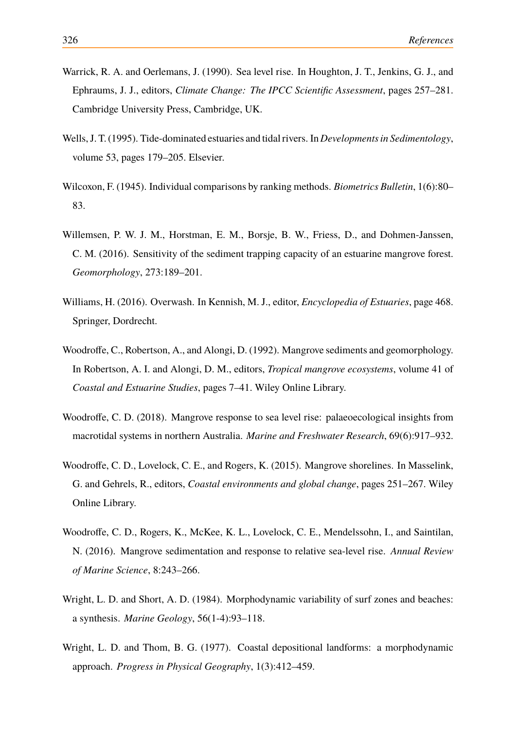- Warrick, R. A. and Oerlemans, J. (1990). Sea level rise. In Houghton, J. T., Jenkins, G. J., and Ephraums, J. J., editors, *Climate Change: The IPCC Scientific Assessment*, pages 257–281. Cambridge University Press, Cambridge, UK.
- Wells, J. T. (1995). Tide-dominated estuaries and tidal rivers. In *Developments in Sedimentology*, volume 53, pages 179–205. Elsevier.
- Wilcoxon, F. (1945). Individual comparisons by ranking methods. *Biometrics Bulletin*, 1(6):80– 83.
- Willemsen, P. W. J. M., Horstman, E. M., Borsje, B. W., Friess, D., and Dohmen-Janssen, C. M. (2016). Sensitivity of the sediment trapping capacity of an estuarine mangrove forest. *Geomorphology*, 273:189–201.
- Williams, H. (2016). Overwash. In Kennish, M. J., editor, *Encyclopedia of Estuaries*, page 468. Springer, Dordrecht.
- Woodroffe, C., Robertson, A., and Alongi, D. (1992). Mangrove sediments and geomorphology. In Robertson, A. I. and Alongi, D. M., editors, *Tropical mangrove ecosystems*, volume 41 of *Coastal and Estuarine Studies*, pages 7–41. Wiley Online Library.
- Woodroffe, C. D. (2018). Mangrove response to sea level rise: palaeoecological insights from macrotidal systems in northern Australia. *Marine and Freshwater Research*, 69(6):917–932.
- Woodroffe, C. D., Lovelock, C. E., and Rogers, K. (2015). Mangrove shorelines. In Masselink, G. and Gehrels, R., editors, *Coastal environments and global change*, pages 251–267. Wiley Online Library.
- Woodroffe, C. D., Rogers, K., McKee, K. L., Lovelock, C. E., Mendelssohn, I., and Saintilan, N. (2016). Mangrove sedimentation and response to relative sea-level rise. *Annual Review of Marine Science*, 8:243–266.
- Wright, L. D. and Short, A. D. (1984). Morphodynamic variability of surf zones and beaches: a synthesis. *Marine Geology*, 56(1-4):93–118.
- Wright, L. D. and Thom, B. G. (1977). Coastal depositional landforms: a morphodynamic approach. *Progress in Physical Geography*, 1(3):412–459.